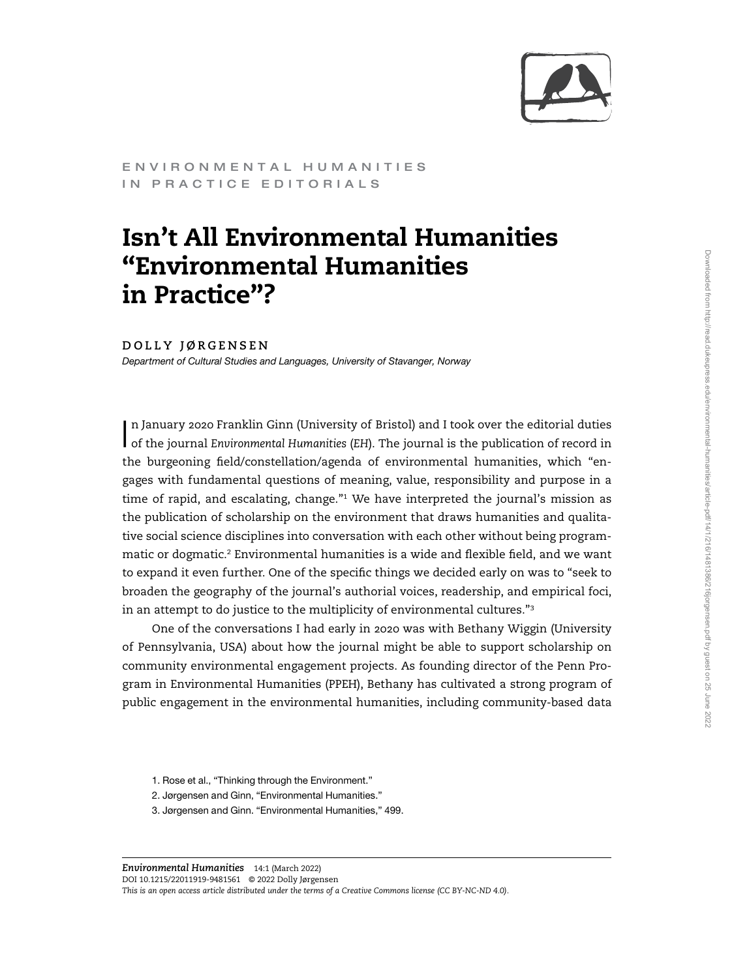

ENVIRONMENTAL HUMANITIES IN PRACTICE EDITORIALS

## Isn't All Environmental Humanities "Environmental Humanities in Practice"?

## DOLLY JØRGENSEN

Department of Cultural Studies and Languages, University of Stavanger, Norway

I n January 2020 Franklin Ginn (University of Bristol) and I took over the editorial duties of the journal Environmental Humanities (EH). The journal is the publication of record in the burgeoning field/constellation/agenda of environmental humanities, which "engages with fundamental questions of meaning, value, responsibility and purpose in a time of rapid, and escalating, change."<sup>1</sup> We have interpreted the journal's mission as the publication of scholarship on the environment that draws humanities and qualitative social science disciplines into conversation with each other without being programmatic or dogmatic.<sup>2</sup> Environmental humanities is a wide and flexible field, and we want to expand it even further. One of the specific things we decided early on was to "seek to broaden the geography of the journal's authorial voices, readership, and empirical foci, in an attempt to do justice to the multiplicity of environmental cultures."<sup>3</sup>

One of the conversations I had early in 2020 was with Bethany Wiggin (University of Pennsylvania, USA) about how the journal might be able to support scholarship on community environmental engagement projects. As founding director of the Penn Program in Environmental Humanities (PPEH), Bethany has cultivated a strong program of public engagement in the environmental humanities, including community-based data

- 1. Rose et al., "Thinking through the Environment."
- 2. Jørgensen and Ginn, "Environmental Humanities."
- 3. Jørgensen and Ginn. "Environmental Humanities," 499.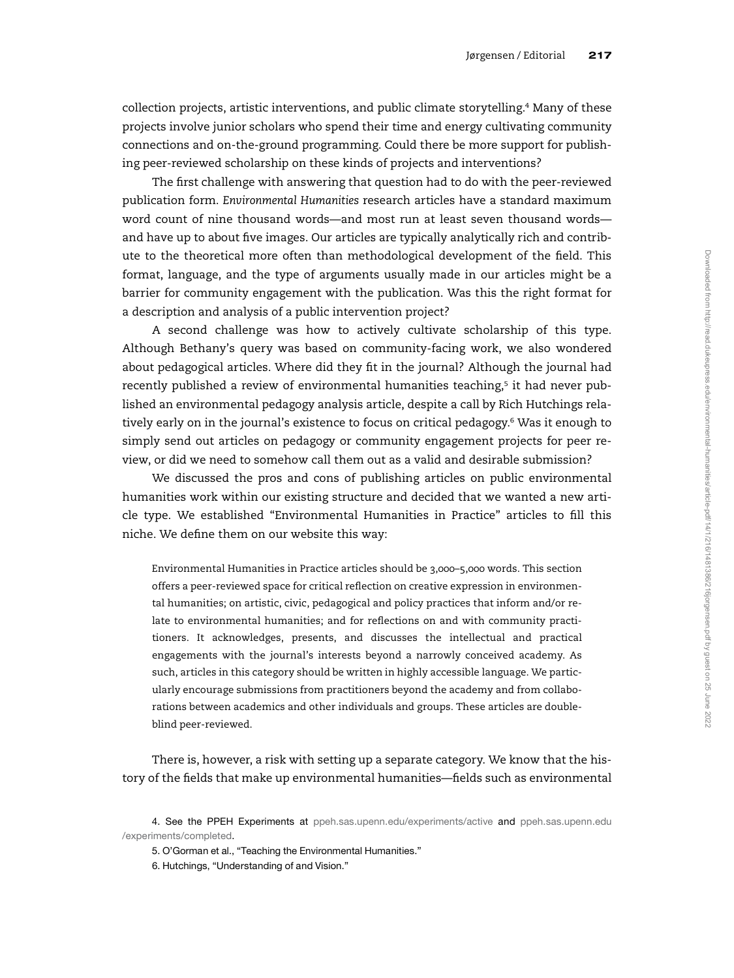collection projects, artistic interventions, and public climate storytelling.<sup>4</sup> Many of these projects involve junior scholars who spend their time and energy cultivating community connections and on-the-ground programming. Could there be more support for publishing peer-reviewed scholarship on these kinds of projects and interventions?

The first challenge with answering that question had to do with the peer-reviewed publication form. Environmental Humanities research articles have a standard maximum word count of nine thousand words—and most run at least seven thousand words and have up to about five images. Our articles are typically analytically rich and contribute to the theoretical more often than methodological development of the field. This format, language, and the type of arguments usually made in our articles might be a barrier for community engagement with the publication. Was this the right format for a description and analysis of a public intervention project?

A second challenge was how to actively cultivate scholarship of this type. Although Bethany's query was based on community-facing work, we also wondered about pedagogical articles. Where did they fit in the journal? Although the journal had recently published a review of environmental humanities teaching,<sup>5</sup> it had never published an environmental pedagogy analysis article, despite a call by Rich Hutchings relatively early on in the journal's existence to focus on critical pedagogy.<sup>6</sup> Was it enough to simply send out articles on pedagogy or community engagement projects for peer review, or did we need to somehow call them out as a valid and desirable submission?

We discussed the pros and cons of publishing articles on public environmental humanities work within our existing structure and decided that we wanted a new article type. We established "Environmental Humanities in Practice" articles to fill this niche. We define them on our website this way:

Environmental Humanities in Practice articles should be 3,000–5,000 words. This section offers a peer-reviewed space for critical reflection on creative expression in environmental humanities; on artistic, civic, pedagogical and policy practices that inform and/or relate to environmental humanities; and for reflections on and with community practitioners. It acknowledges, presents, and discusses the intellectual and practical engagements with the journal's interests beyond a narrowly conceived academy. As such, articles in this category should be written in highly accessible language. We particularly encourage submissions from practitioners beyond the academy and from collaborations between academics and other individuals and groups. These articles are doubleblind peer-reviewed.

There is, however, a risk with setting up a separate category. We know that the history of the fields that make up environmental humanities—fields such as environmental

<sup>4.</sup> See the PPEH Experiments at [ppeh.sas.upenn.edu/experiments/active](http://ppeh.sas.upenn.edu/experiments/active) and [ppeh.sas.upenn.edu](http://ppeh.sas.upenn.edu/experiments/completed) [/experiments/completed.](http://ppeh.sas.upenn.edu/experiments/completed)

<sup>5.</sup> O'Gorman et al., "Teaching the Environmental Humanities."

<sup>6.</sup> Hutchings, "Understanding of and Vision."